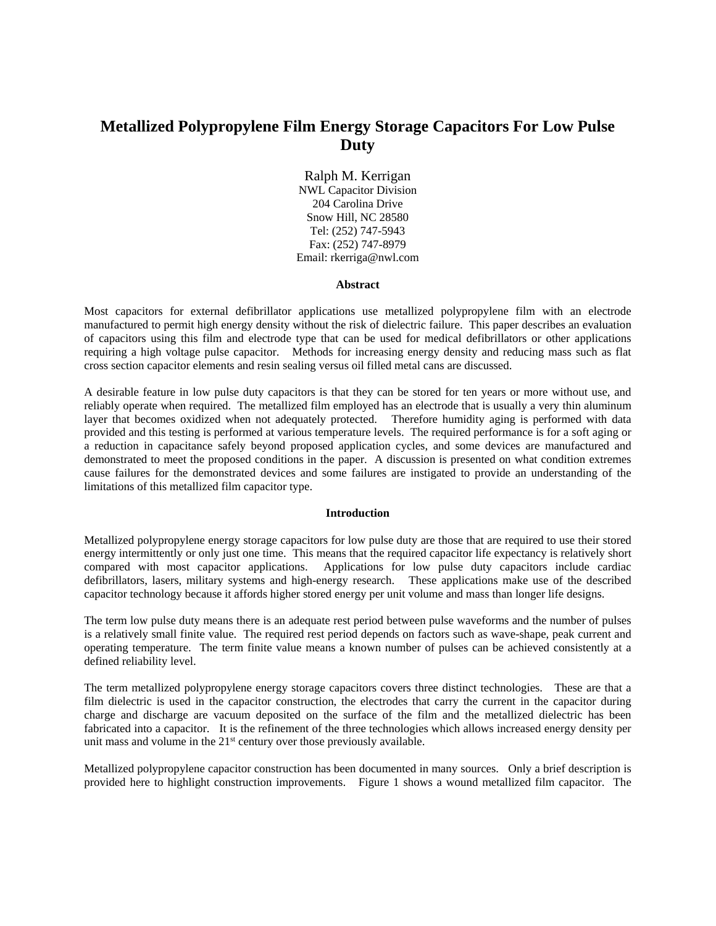## **Metallized Polypropylene Film Energy Storage Capacitors For Low Pulse Duty**

Ralph M. Kerrigan NWL Capacitor Division 204 Carolina Drive Snow Hill, NC 28580 Tel: (252) 747-5943 Fax: (252) 747-8979 Email: rkerriga@nwl.com

## **Abstract**

Most capacitors for external defibrillator applications use metallized polypropylene film with an electrode manufactured to permit high energy density without the risk of dielectric failure. This paper describes an evaluation of capacitors using this film and electrode type that can be used for medical defibrillators or other applications requiring a high voltage pulse capacitor. Methods for increasing energy density and reducing mass such as flat cross section capacitor elements and resin sealing versus oil filled metal cans are discussed.

A desirable feature in low pulse duty capacitors is that they can be stored for ten years or more without use, and reliably operate when required. The metallized film employed has an electrode that is usually a very thin aluminum layer that becomes oxidized when not adequately protected. Therefore humidity aging is performed with data provided and this testing is performed at various temperature levels. The required performance is for a soft aging or a reduction in capacitance safely beyond proposed application cycles, and some devices are manufactured and demonstrated to meet the proposed conditions in the paper. A discussion is presented on what condition extremes cause failures for the demonstrated devices and some failures are instigated to provide an understanding of the limitations of this metallized film capacitor type.

## **Introduction**

Metallized polypropylene energy storage capacitors for low pulse duty are those that are required to use their stored energy intermittently or only just one time. This means that the required capacitor life expectancy is relatively short compared with most capacitor applications. Applications for low pulse duty capacitors include cardiac defibrillators, lasers, military systems and high-energy research. These applications make use of the described capacitor technology because it affords higher stored energy per unit volume and mass than longer life designs.

The term low pulse duty means there is an adequate rest period between pulse waveforms and the number of pulses is a relatively small finite value. The required rest period depends on factors such as wave-shape, peak current and operating temperature. The term finite value means a known number of pulses can be achieved consistently at a defined reliability level.

The term metallized polypropylene energy storage capacitors covers three distinct technologies. These are that a film dielectric is used in the capacitor construction, the electrodes that carry the current in the capacitor during charge and discharge are vacuum deposited on the surface of the film and the metallized dielectric has been fabricated into a capacitor. It is the refinement of the three technologies which allows increased energy density per unit mass and volume in the  $21<sup>st</sup>$  century over those previously available.

Metallized polypropylene capacitor construction has been documented in many sources. Only a brief description is provided here to highlight construction improvements. Figure 1 shows a wound metallized film capacitor. The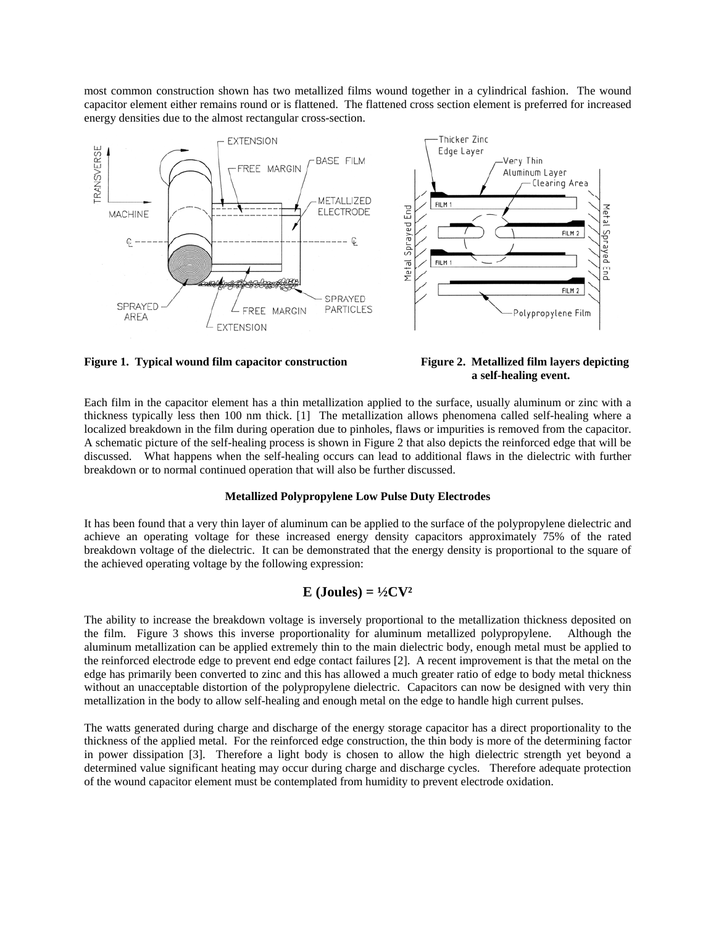most common construction shown has two metallized films wound together in a cylindrical fashion. The wound capacitor element either remains round or is flattened. The flattened cross section element is preferred for increased energy densities due to the almost rectangular cross-section.



## **Figure 1. Typical wound film capacitor construction Figure 2. Metallized film layers depicting**

# **a self-healing event.**

Each film in the capacitor element has a thin metallization applied to the surface, usually aluminum or zinc with a thickness typically less then 100 nm thick. [1] The metallization allows phenomena called self-healing where a localized breakdown in the film during operation due to pinholes, flaws or impurities is removed from the capacitor. A schematic picture of the self-healing process is shown in Figure 2 that also depicts the reinforced edge that will be discussed. What happens when the self-healing occurs can lead to additional flaws in the dielectric with further breakdown or to normal continued operation that will also be further discussed.

## **Metallized Polypropylene Low Pulse Duty Electrodes**

It has been found that a very thin layer of aluminum can be applied to the surface of the polypropylene dielectric and achieve an operating voltage for these increased energy density capacitors approximately 75% of the rated breakdown voltage of the dielectric. It can be demonstrated that the energy density is proportional to the square of the achieved operating voltage by the following expression:

## $E$  (Joules) =  $\frac{1}{2}CV^2$

The ability to increase the breakdown voltage is inversely proportional to the metallization thickness deposited on the film. Figure 3 shows this inverse proportionality for aluminum metallized polypropylene. Although the aluminum metallization can be applied extremely thin to the main dielectric body, enough metal must be applied to the reinforced electrode edge to prevent end edge contact failures [2]. A recent improvement is that the metal on the edge has primarily been converted to zinc and this has allowed a much greater ratio of edge to body metal thickness without an unacceptable distortion of the polypropylene dielectric. Capacitors can now be designed with very thin metallization in the body to allow self-healing and enough metal on the edge to handle high current pulses.

The watts generated during charge and discharge of the energy storage capacitor has a direct proportionality to the thickness of the applied metal. For the reinforced edge construction, the thin body is more of the determining factor in power dissipation [3]. Therefore a light body is chosen to allow the high dielectric strength yet beyond a determined value significant heating may occur during charge and discharge cycles. Therefore adequate protection of the wound capacitor element must be contemplated from humidity to prevent electrode oxidation.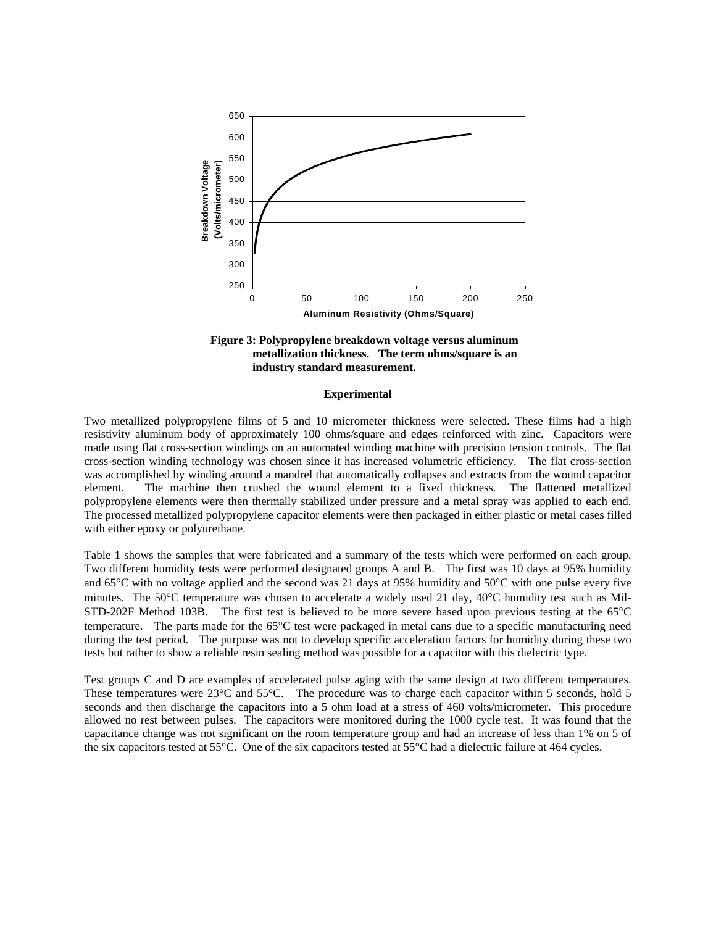



## **Experimental**

Two metallized polypropylene films of 5 and 10 micrometer thickness were selected. These films had a high resistivity aluminum body of approximately 100 ohms/square and edges reinforced with zinc. Capacitors were made using flat cross-section windings on an automated winding machine with precision tension controls. The flat cross-section winding technology was chosen since it has increased volumetric efficiency. The flat cross-section was accomplished by winding around a mandrel that automatically collapses and extracts from the wound capacitor element. The machine then crushed the wound element to a fixed thickness. The flattened metallized polypropylene elements were then thermally stabilized under pressure and a metal spray was applied to each end. The processed metallized polypropylene capacitor elements were then packaged in either plastic or metal cases filled with either epoxy or polyurethane.

Table 1 shows the samples that were fabricated and a summary of the tests which were performed on each group. Two different humidity tests were performed designated groups A and B. The first was 10 days at 95% humidity and  $65^{\circ}$ C with no voltage applied and the second was 21 days at 95% humidity and  $50^{\circ}$ C with one pulse every five minutes. The 50°C temperature was chosen to accelerate a widely used 21 day, 40°C humidity test such as Mil-STD-202F Method 103B. The first test is believed to be more severe based upon previous testing at the  $65^{\circ}$ C temperature. The parts made for the  $65^{\circ}$ C test were packaged in metal cans due to a specific manufacturing need during the test period. The purpose was not to develop specific acceleration factors for humidity during these two tests but rather to show a reliable resin sealing method was possible for a capacitor with this dielectric type.

Test groups C and D are examples of accelerated pulse aging with the same design at two different temperatures. These temperatures were 23<sup>o</sup>C and 55<sup>o</sup>C. The procedure was to charge each capacitor within 5 seconds, hold 5 seconds and then discharge the capacitors into a 5 ohm load at a stress of 460 volts/micrometer. This procedure allowed no rest between pulses. The capacitors were monitored during the 1000 cycle test. It was found that the capacitance change was not significant on the room temperature group and had an increase of less than 1% on 5 of the six capacitors tested at 55°C. One of the six capacitors tested at 55°C had a dielectric failure at 464 cycles.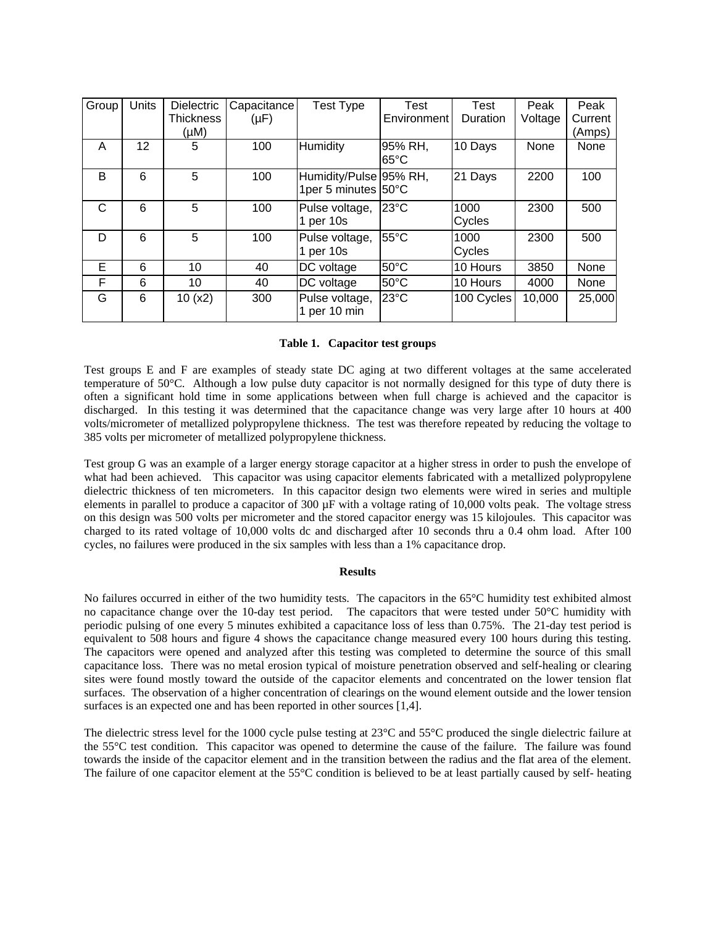| Group | <b>Units</b> | <b>Dielectric</b> | Capacitance | <b>Test Type</b>                              | Test                      | Test           | Peak    | Peak    |
|-------|--------------|-------------------|-------------|-----------------------------------------------|---------------------------|----------------|---------|---------|
|       |              | Thickness         | $(\mu F)$   |                                               | Environment               | Duration       | Voltage | Current |
|       |              | (Mu)              |             |                                               |                           |                |         | (Amps)  |
| A     | 12           | 5                 | 100         | Humidity                                      | 95% RH,<br>$65^{\circ}$ C | 10 Days        | None    | None    |
| B.    | 6            | 5                 | 100         | Humidity/Pulse 95% RH,<br>1per 5 minutes 50°C |                           | 21 Days        | 2200    | 100     |
| C     | 6            | 5                 | 100         | Pulse voltage,<br>1 per 10s                   | $23^{\circ}$ C            | 1000<br>Cycles | 2300    | 500     |
| D     | 6            | 5                 | 100         | Pulse voltage,<br>1 per 10s                   | 55°C                      | 1000<br>Cycles | 2300    | 500     |
| E.    | 6            | 10                | 40          | DC voltage                                    | $50^{\circ}$ C            | 10 Hours       | 3850    | None    |
| F     | 6            | 10                | 40          | DC voltage                                    | 50°C                      | 10 Hours       | 4000    | None    |
| G     | 6            | 10(x2)            | 300         | Pulse voltage,<br>1 per 10 min                | $23^{\circ}$ C            | 100 Cycles     | 10,000  | 25,000  |

## **Table 1. Capacitor test groups**

Test groups E and F are examples of steady state DC aging at two different voltages at the same accelerated temperature of 50°C. Although a low pulse duty capacitor is not normally designed for this type of duty there is often a significant hold time in some applications between when full charge is achieved and the capacitor is discharged. In this testing it was determined that the capacitance change was very large after 10 hours at 400 volts/micrometer of metallized polypropylene thickness. The test was therefore repeated by reducing the voltage to 385 volts per micrometer of metallized polypropylene thickness.

Test group G was an example of a larger energy storage capacitor at a higher stress in order to push the envelope of what had been achieved. This capacitor was using capacitor elements fabricated with a metallized polypropylene dielectric thickness of ten micrometers. In this capacitor design two elements were wired in series and multiple elements in parallel to produce a capacitor of 300  $\mu$ F with a voltage rating of 10,000 volts peak. The voltage stress on this design was 500 volts per micrometer and the stored capacitor energy was 15 kilojoules. This capacitor was charged to its rated voltage of 10,000 volts dc and discharged after 10 seconds thru a 0.4 ohm load. After 100 cycles, no failures were produced in the six samples with less than a 1% capacitance drop.

## **Results**

No failures occurred in either of the two humidity tests. The capacitors in the 65°C humidity test exhibited almost no capacitance change over the 10-day test period. The capacitors that were tested under 50°C humidity with periodic pulsing of one every 5 minutes exhibited a capacitance loss of less than 0.75%. The 21-day test period is equivalent to 508 hours and figure 4 shows the capacitance change measured every 100 hours during this testing. The capacitors were opened and analyzed after this testing was completed to determine the source of this small capacitance loss. There was no metal erosion typical of moisture penetration observed and self-healing or clearing sites were found mostly toward the outside of the capacitor elements and concentrated on the lower tension flat surfaces. The observation of a higher concentration of clearings on the wound element outside and the lower tension surfaces is an expected one and has been reported in other sources [1,4].

The dielectric stress level for the 1000 cycle pulse testing at 23°C and 55°C produced the single dielectric failure at the 55°C test condition. This capacitor was opened to determine the cause of the failure. The failure was found towards the inside of the capacitor element and in the transition between the radius and the flat area of the element. The failure of one capacitor element at the 55°C condition is believed to be at least partially caused by self- heating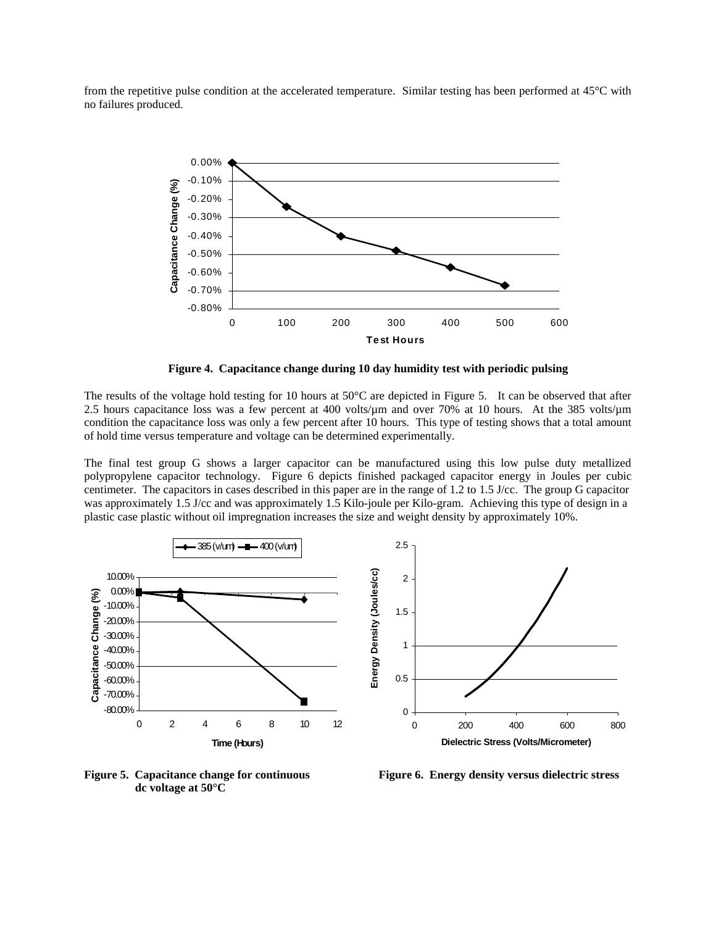from the repetitive pulse condition at the accelerated temperature. Similar testing has been performed at 45°C with no failures produced.



**Figure 4. Capacitance change during 10 day humidity test with periodic pulsing** 

The results of the voltage hold testing for 10 hours at 50°C are depicted in Figure 5. It can be observed that after 2.5 hours capacitance loss was a few percent at 400 volts/µm and over 70% at 10 hours. At the 385 volts/µm condition the capacitance loss was only a few percent after 10 hours. This type of testing shows that a total amount of hold time versus temperature and voltage can be determined experimentally.

The final test group G shows a larger capacitor can be manufactured using this low pulse duty metallized polypropylene capacitor technology. Figure 6 depicts finished packaged capacitor energy in Joules per cubic centimeter. The capacitors in cases described in this paper are in the range of 1.2 to 1.5 J/cc. The group G capacitor was approximately 1.5 J/cc and was approximately 1.5 Kilo-joule per Kilo-gram. Achieving this type of design in a plastic case plastic without oil impregnation increases the size and weight density by approximately 10%.



**Figure 5. Capacitance change for continuous Figure 6. Energy density versus dielectric stress dc voltage at 50°C**